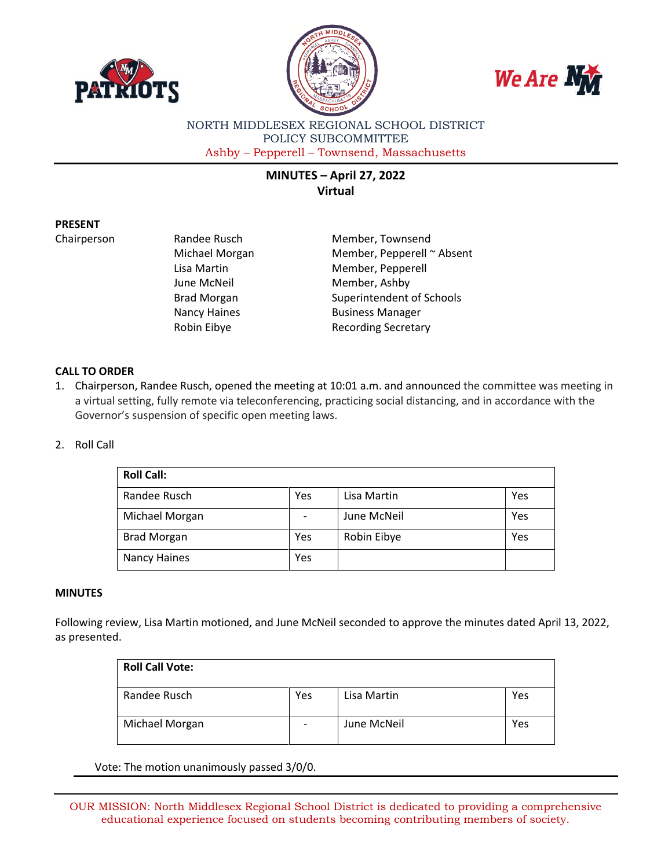





NORTH MIDDLESEX REGIONAL SCHOOL DISTRICT POLICY SUBCOMMITTEE Ashby – Pepperell – Townsend, Massachusetts

# **MINUTES – April 27, 2022 Virtual**

## **PRESENT**

Chairperson Randee Rusch Member, Townsend Michael Morgan Member, Pepperell ~ Absent Lisa Martin Member, Pepperell June McNeil Member, Ashby Brad Morgan Superintendent of Schools Nancy Haines **Business Manager** Robin Eibye **Recording Secretary** 

## **CALL TO ORDER**

1. Chairperson, Randee Rusch, opened the meeting at 10:01 a.m. and announced the committee was meeting in a virtual setting, fully remote via teleconferencing, practicing social distancing, and in accordance with the Governor's suspension of specific open meeting laws.

## 2. Roll Call

| <b>Roll Call:</b>  |     |             |     |
|--------------------|-----|-------------|-----|
| Randee Rusch       | Yes | Lisa Martin | Yes |
| Michael Morgan     |     | June McNeil | Yes |
| <b>Brad Morgan</b> | Yes | Robin Eibye | Yes |
| Nancy Haines       | Yes |             |     |

## **MINUTES**

Following review, Lisa Martin motioned, and June McNeil seconded to approve the minutes dated April 13, 2022, as presented.

| <b>Roll Call Vote:</b> |     |             |     |
|------------------------|-----|-------------|-----|
| Randee Rusch           | Yes | Lisa Martin | Yes |
| Michael Morgan         |     | June McNeil | Yes |

Vote: The motion unanimously passed 3/0/0.

OUR MISSION: North Middlesex Regional School District is dedicated to providing a comprehensive educational experience focused on students becoming contributing members of society.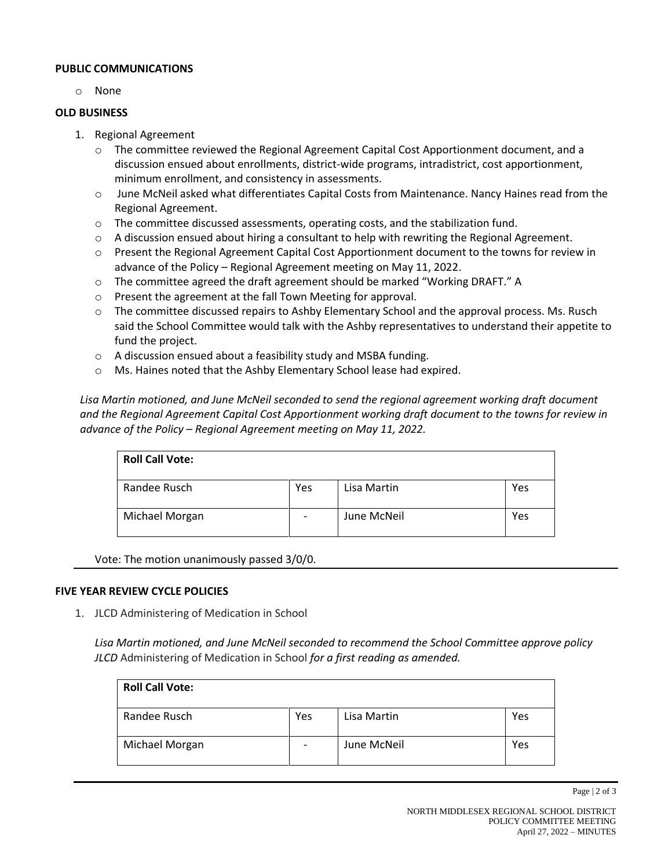### **PUBLIC COMMUNICATIONS**

o None

#### **OLD BUSINESS**

- 1. Regional Agreement
	- $\circ$  The committee reviewed the Regional Agreement Capital Cost Apportionment document, and a discussion ensued about enrollments, district-wide programs, intradistrict, cost apportionment, minimum enrollment, and consistency in assessments.
	- o June McNeil asked what differentiates Capital Costs from Maintenance. Nancy Haines read from the Regional Agreement.
	- o The committee discussed assessments, operating costs, and the stabilization fund.
	- $\circ$  A discussion ensued about hiring a consultant to help with rewriting the Regional Agreement.
	- o Present the Regional Agreement Capital Cost Apportionment document to the towns for review in advance of the Policy – Regional Agreement meeting on May 11, 2022.
	- o The committee agreed the draft agreement should be marked "Working DRAFT." A
	- o Present the agreement at the fall Town Meeting for approval.
	- o The committee discussed repairs to Ashby Elementary School and the approval process. Ms. Rusch said the School Committee would talk with the Ashby representatives to understand their appetite to fund the project.
	- o A discussion ensued about a feasibility study and MSBA funding.
	- o Ms. Haines noted that the Ashby Elementary School lease had expired.

*Lisa Martin motioned, and June McNeil seconded to send the regional agreement working draft document and the Regional Agreement Capital Cost Apportionment working draft document to the towns for review in advance of the Policy – Regional Agreement meeting on May 11, 2022.*

| <b>Roll Call Vote:</b> |                          |             |     |
|------------------------|--------------------------|-------------|-----|
| Randee Rusch           | Yes                      | Lisa Martin | Yes |
| Michael Morgan         | $\overline{\phantom{0}}$ | June McNeil | Yes |

Vote: The motion unanimously passed 3/0/0.

#### **FIVE YEAR REVIEW CYCLE POLICIES**

1. JLCD Administering of Medication in School

*Lisa Martin motioned, and June McNeil seconded to recommend the School Committee approve policy JLCD* Administering of Medication in School *for a first reading as amended.*

| <b>Roll Call Vote:</b> |                          |             |     |
|------------------------|--------------------------|-------------|-----|
| Randee Rusch           | Yes                      | Lisa Martin | Yes |
| Michael Morgan         | $\overline{\phantom{a}}$ | June McNeil | Yes |